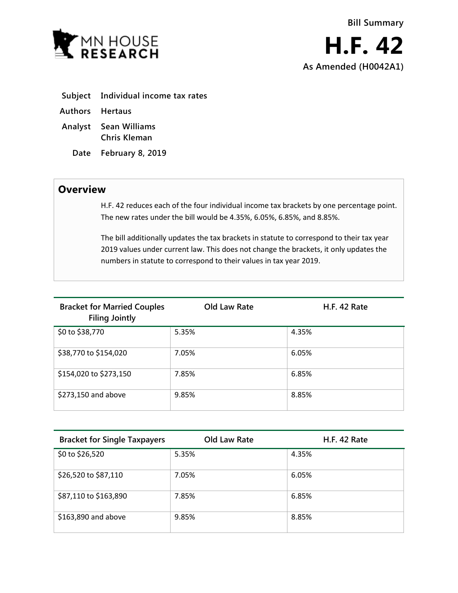

- **Subject Individual income tax rates**
- **Authors Hertaus**
- **Analyst Sean Williams Chris Kleman**
	- **Date February 8, 2019**

## **Overview**

H.F. 42 reduces each of the four individual income tax brackets by one percentage point. The new rates under the bill would be 4.35%, 6.05%, 6.85%, and 8.85%.

The bill additionally updates the tax brackets in statute to correspond to their tax year 2019 values under current law. This does not change the brackets, it only updates the numbers in statute to correspond to their values in tax year 2019.

| <b>Bracket for Married Couples</b><br><b>Filing Jointly</b> | Old Law Rate | <b>H.F. 42 Rate</b> |
|-------------------------------------------------------------|--------------|---------------------|
| \$0 to \$38,770                                             | 5.35%        | 4.35%               |
| \$38,770 to \$154,020                                       | 7.05%        | 6.05%               |
| \$154,020 to \$273,150                                      | 7.85%        | 6.85%               |
| \$273,150 and above                                         | 9.85%        | 8.85%               |

| <b>Bracket for Single Taxpayers</b> | Old Law Rate | <b>H.F. 42 Rate</b> |
|-------------------------------------|--------------|---------------------|
| \$0 to \$26,520                     | 5.35%        | 4.35%               |
| \$26,520 to \$87,110                | 7.05%        | 6.05%               |
| \$87,110 to \$163,890               | 7.85%        | 6.85%               |
| \$163,890 and above                 | 9.85%        | 8.85%               |